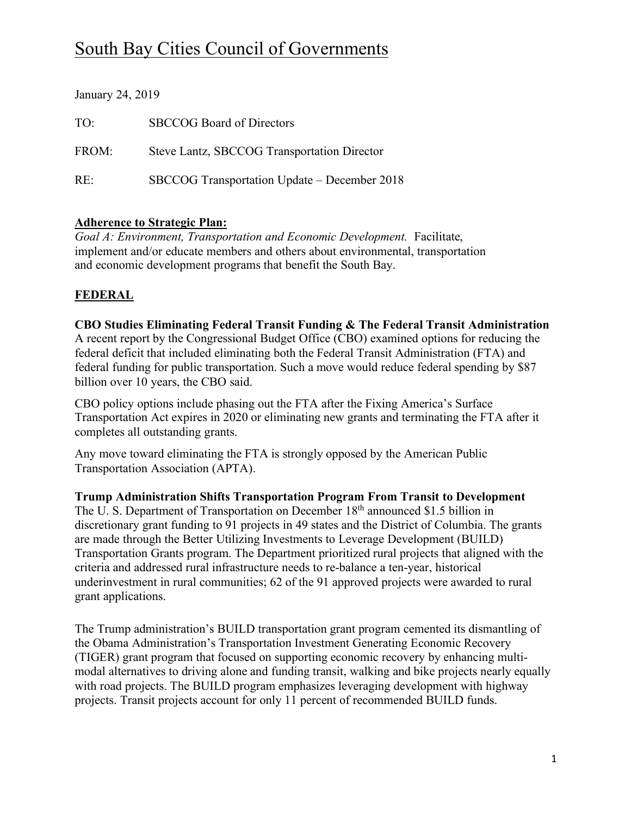# South Bay Cities Council of Governments

| January 24, 2019 |                                              |
|------------------|----------------------------------------------|
| TO:              | <b>SBCCOG</b> Board of Directors             |
| FROM:            | Steve Lantz, SBCCOG Transportation Director  |
| RE:              | SBCCOG Transportation Update – December 2018 |

### **Adherence to Strategic Plan:**

*Goal A: Environment, Transportation and Economic Development.* Facilitate, implement and/or educate members and others about environmental, transportation and economic development programs that benefit the South Bay.

## **FEDERAL**

**CBO Studies Eliminating Federal Transit Funding & The Federal Transit Administration**  A recent report by the Congressional Budget Office (CBO) examined options for reducing the federal deficit that included eliminating both the Federal Transit Administration (FTA) and federal funding for public transportation. Such a move would reduce federal spending by \$87 billion over 10 years, the CBO said.

CBO policy options include phasing out the FTA after the Fixing America's Surface Transportation Act expires in 2020 or eliminating new grants and terminating the FTA after it completes all outstanding grants.

Any move toward eliminating the FTA is strongly opposed by the American Public Transportation Association (APTA).

**Trump Administration Shifts Transportation Program From Transit to Development** The U. S. Department of Transportation on December 18th announced \$1.5 billion in discretionary grant funding to 91 projects in 49 states and the District of Columbia. The grants are made through the Better Utilizing Investments to Leverage Development (BUILD) Transportation Grants program. The Department prioritized rural projects that aligned with the criteria and addressed rural infrastructure needs to re-balance a ten-year, historical underinvestment in rural communities; 62 of the 91 approved projects were awarded to rural grant applications.

The Trump administration's BUILD transportation grant program cemented its dismantling of the Obama Administration's Transportation Investment Generating Economic Recovery (TIGER) grant program that focused on supporting economic recovery by enhancing multimodal alternatives to driving alone and funding transit, walking and bike projects nearly equally with road projects. The BUILD program emphasizes leveraging development with highway projects. Transit projects account for only 11 percent of recommended BUILD funds.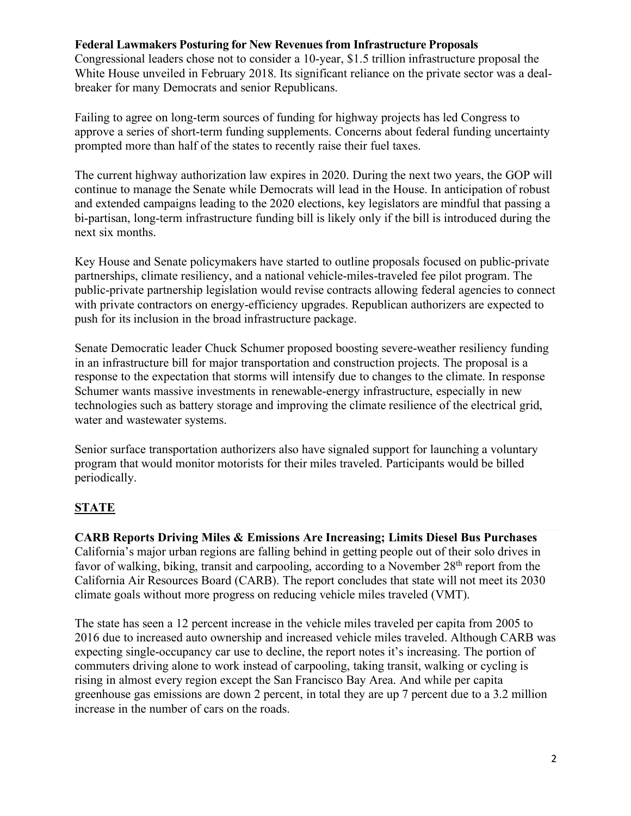#### **Federal Lawmakers Posturing for New Revenues from Infrastructure Proposals**

Congressional leaders chose not to consider a 10-year, \$1.5 trillion infrastructure proposal the White House unveiled in February 2018. Its significant reliance on the private sector was a dealbreaker for many Democrats and senior Republicans.

Failing to agree on long-term sources of funding for highway projects has led Congress to approve a series of short-term funding supplements. Concerns about federal funding uncertainty prompted more than half of the states to recently raise their fuel taxes.

The current highway authorization law expires in 2020. During the next two years, the GOP will continue to manage the Senate while Democrats will lead in the House. In anticipation of robust and extended campaigns leading to the 2020 elections, key legislators are mindful that passing a bi-partisan, long-term infrastructure funding bill is likely only if the bill is introduced during the next six months.

Key House and Senate policymakers have started to outline proposals focused on public-private partnerships, climate resiliency, and a national vehicle-miles-traveled fee pilot program. The public-private partnership legislation would revise contracts allowing federal agencies to connect with private contractors on energy-efficiency upgrades. Republican authorizers are expected to push for its inclusion in the broad infrastructure package.

Senate Democratic leader Chuck Schumer proposed boosting severe-weather resiliency funding in an infrastructure bill for major transportation and construction projects. The proposal is a response to the expectation that storms will intensify due to changes to the climate. In response Schumer wants massive investments in renewable-energy infrastructure, especially in new technologies such as battery storage and improving the climate resilience of the electrical grid, water and wastewater systems.

Senior surface transportation authorizers also have signaled support for launching a voluntary program that would monitor motorists for their miles traveled. Participants would be billed periodically.

## **STATE**

**CARB Reports Driving Miles & Emissions Are Increasing; Limits Diesel Bus Purchases** California's major urban regions are falling behind in getting people out of their solo drives in favor of walking, biking, transit and carpooling, according to a November 28<sup>th</sup> report from the California Air Resources Board (CARB). The report concludes that state will not meet its 2030 climate goals without more progress on reducing vehicle miles traveled (VMT).

The state has seen a 12 percent increase in the vehicle miles traveled per capita from 2005 to 2016 due to increased auto ownership and increased vehicle miles traveled. Although CARB was expecting single-occupancy car use to decline, the report notes it's increasing. The portion of commuters driving alone to work instead of carpooling, taking transit, walking or cycling is rising in almost every region except the San Francisco Bay Area. And while per capita greenhouse gas emissions are down 2 percent, in total they are up 7 percent due to a 3.2 million increase in the number of cars on the roads.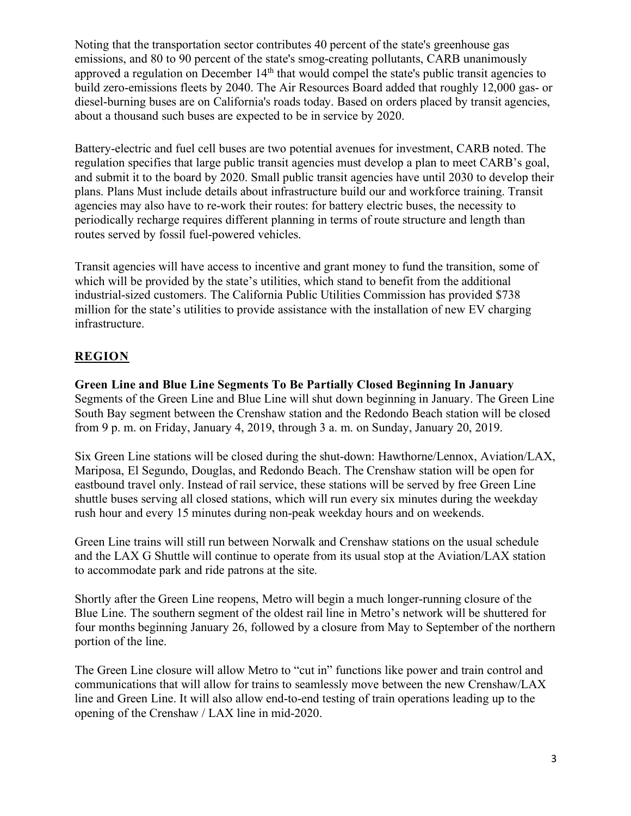Noting that the transportation sector contributes 40 percent of the state's greenhouse gas emissions, and 80 to 90 percent of the state's smog-creating pollutants, CARB unanimously approved a regulation on December 14<sup>th</sup> that would compel the state's public transit agencies to build zero-emissions fleets by 2040. The Air Resources Board added that roughly 12,000 gas- or diesel-burning buses are on California's roads today. Based on orders placed by transit agencies, about a thousand such buses are expected to be in service by 2020.

Battery-electric and fuel cell buses are two potential avenues for investment, CARB noted. The regulation specifies that large public transit agencies must develop a plan to meet CARB's goal, and submit it to the board by 2020. Small public transit agencies have until 2030 to develop their plans. Plans Must include details about infrastructure build our and workforce training. Transit agencies may also have to re-work their routes: for battery electric buses, the necessity to periodically recharge requires different planning in terms of route structure and length than routes served by fossil fuel-powered vehicles.

Transit agencies will have access to incentive and grant money to fund the transition, some of which will be provided by the state's utilities, which stand to benefit from the additional industrial-sized customers. The California Public Utilities Commission has provided \$738 million for the state's utilities to provide assistance with the installation of new EV charging infrastructure.

## **REGION**

**Green Line and Blue Line Segments To Be Partially Closed Beginning In January** Segments of the Green Line and Blue Line will shut down beginning in January. The Green Line South Bay segment between the Crenshaw station and the Redondo Beach station will be closed from 9 p. m. on Friday, January 4, 2019, through 3 a. m. on Sunday, January 20, 2019.

Six Green Line stations will be closed during the shut-down: Hawthorne/Lennox, Aviation/LAX, Mariposa, El Segundo, Douglas, and Redondo Beach. The Crenshaw station will be open for eastbound travel only. Instead of rail service, these stations will be served by free Green Line shuttle buses serving all closed stations, which will run every six minutes during the weekday rush hour and every 15 minutes during non-peak weekday hours and on weekends.

Green Line trains will still run between Norwalk and Crenshaw stations on the usual schedule and the LAX G Shuttle will continue to operate from its usual stop at the Aviation/LAX station to accommodate park and ride patrons at the site.

Shortly after the Green Line reopens, Metro will begin a much longer-running closure of the Blue Line. The southern segment of the oldest rail line in Metro's network will be shuttered for four months beginning January 26, followed by a closure from May to September of the northern portion of the line.

The Green Line closure will allow Metro to "cut in" functions like power and train control and communications that will allow for trains to seamlessly move between the new Crenshaw/LAX line and Green Line. It will also allow end-to-end testing of train operations leading up to the opening of the Crenshaw / LAX line in mid-2020.